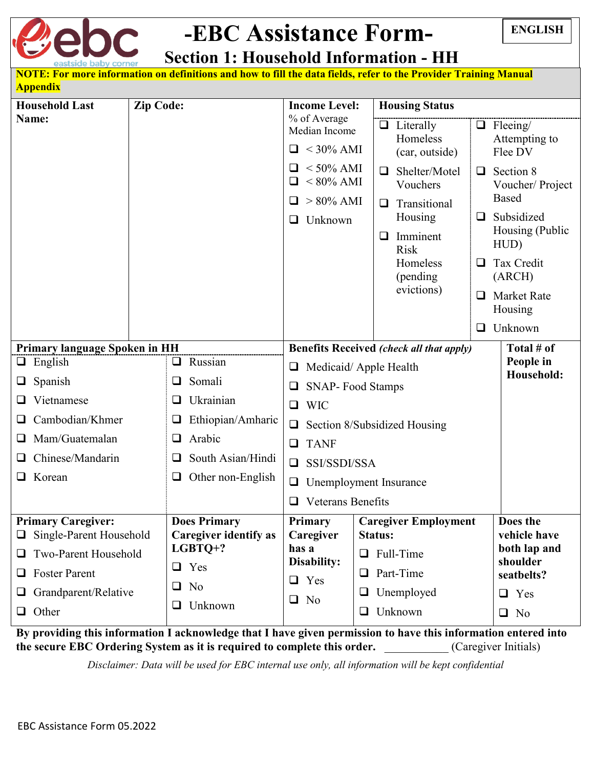

## **-EBC Assistance Form- Section 1: Household Information - HH**

| NOTE: For more information on definitions and how to fill the data fields, refer to the Provider Training Manual<br><b>Appendix</b> |                                                     |                                                                 |                                                               |                                                            |  |  |
|-------------------------------------------------------------------------------------------------------------------------------------|-----------------------------------------------------|-----------------------------------------------------------------|---------------------------------------------------------------|------------------------------------------------------------|--|--|
| <b>Household Last</b>                                                                                                               | <b>Zip Code:</b>                                    | <b>Income Level:</b>                                            | <b>Housing Status</b>                                         |                                                            |  |  |
| Name:                                                                                                                               |                                                     | % of Average<br>Median Income<br>$\Box$ < 30% AMI               | $\Box$ Literally<br>Homeless<br>(car, outside)                | $\Box$ Fleeing/<br>Attempting to<br>Flee DV                |  |  |
|                                                                                                                                     |                                                     | $<$ 50% AMI<br>$< 80\%$ AMI<br>$\Box$<br>$> 80\%$ AMI<br>$\Box$ | Shelter/Motel<br>□<br>□<br>Vouchers<br>Transitional<br>$\Box$ | Section 8<br>Voucher/Project<br><b>Based</b><br>Subsidized |  |  |
|                                                                                                                                     |                                                     | Unknown<br>❏                                                    | Housing<br>⊔<br>Imminent<br>$\Box$<br><b>Risk</b>             | Housing (Public<br>HUD)                                    |  |  |
|                                                                                                                                     |                                                     |                                                                 | Homeless<br>⊔<br>(pending)<br>evictions)                      | Tax Credit<br>(ARCH)                                       |  |  |
|                                                                                                                                     |                                                     |                                                                 | ❏                                                             | <b>Market Rate</b><br>Housing                              |  |  |
|                                                                                                                                     |                                                     |                                                                 | ❏                                                             | Unknown                                                    |  |  |
| <b>Primary language Spoken in HH</b>                                                                                                |                                                     |                                                                 | <b>Benefits Received (check all that apply)</b>               | Total # of                                                 |  |  |
| Russian<br>English<br>❏                                                                                                             |                                                     | Medicaid/Apple Health<br>❏                                      | People in<br>Household:                                       |                                                            |  |  |
| Spanish                                                                                                                             | Somali<br>□                                         |                                                                 | <b>SNAP-Food Stamps</b><br>⊔                                  |                                                            |  |  |
| Vietnamese                                                                                                                          | Ukrainian<br>⊔                                      | <b>WIC</b><br>$\Box$                                            |                                                               |                                                            |  |  |
| Cambodian/Khmer                                                                                                                     | Ethiopian/Amharic<br>$\Box$                         | Section 8/Subsidized Housing<br>$\Box$                          |                                                               |                                                            |  |  |
| Mam/Guatemalan<br>ப                                                                                                                 | Arabic<br>❏                                         | <b>TANF</b><br>$\Box$                                           |                                                               |                                                            |  |  |
| Chinese/Mandarin                                                                                                                    | South Asian/Hindi                                   | SSI/SSDI/SSA<br>$\Box$                                          |                                                               |                                                            |  |  |
| Korean                                                                                                                              | Other non-English<br>❏                              | Unemployment Insurance<br>$\Box$                                |                                                               |                                                            |  |  |
|                                                                                                                                     |                                                     | $\Box$<br>Veterans Benefits                                     |                                                               |                                                            |  |  |
| <b>Primary Caregiver:</b><br>Single-Parent Household                                                                                | <b>Does Primary</b><br><b>Caregiver identify as</b> | Primary<br>Caregiver                                            | <b>Caregiver Employment</b><br><b>Status:</b>                 | Does the<br>vehicle have                                   |  |  |
| Two-Parent Household                                                                                                                | $LGBTQ+?$                                           | has a<br>Disability:                                            | Full-Time<br>$\Box$                                           | both lap and<br>shoulder                                   |  |  |
| <b>Foster Parent</b><br>❏                                                                                                           | $\Box$ Yes                                          | Yes<br>❏                                                        | Part-Time<br>$\Box$                                           | seatbelts?                                                 |  |  |
| Grandparent/Relative<br>⊔                                                                                                           | No<br>❏                                             | N <sub>o</sub><br>$\Box$                                        | Unemployed<br>⊔                                               | Yes<br>$\Box$                                              |  |  |
| $\Box$ Other                                                                                                                        | Unknown<br>❏                                        |                                                                 | Unknown<br>$\Box$                                             | $\Box$ No                                                  |  |  |

**By providing this information I acknowledge that I have given permission to have this information entered into the secure EBC Ordering System as it is required to complete this order.** \_\_\_\_\_\_\_\_\_\_\_ (Caregiver Initials)

*Disclaimer: Data will be used for EBC internal use only, all information will be kept confidential*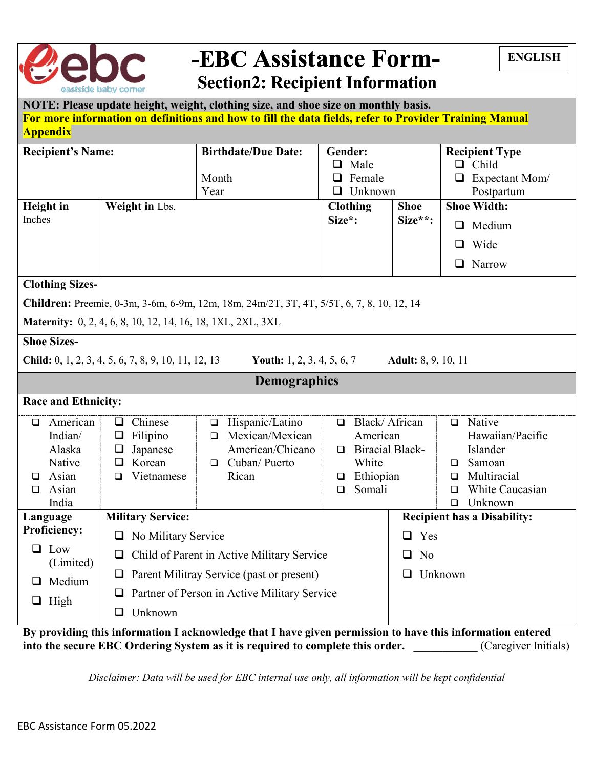

## **-EBC Assistance Form- Section2: Recipient Information**

|  | <b>ENGLISH</b> |
|--|----------------|
|  |                |

| NOTE: Please update height, weight, clothing size, and shoe size on monthly basis.                     |
|--------------------------------------------------------------------------------------------------------|
| For more information on definitions and how to fill the data fields, refer to Provider Training Manual |
| <b>Appendix</b>                                                                                        |

| <b>Recipient's Name:</b>   |                                                             | <b>Birthdate/Due Date:</b>                                                                             | Gender:                                      |                            | <b>Recipient Type</b>              |  |  |
|----------------------------|-------------------------------------------------------------|--------------------------------------------------------------------------------------------------------|----------------------------------------------|----------------------------|------------------------------------|--|--|
|                            |                                                             |                                                                                                        | Male<br>Q.                                   |                            | $\Box$ Child                       |  |  |
|                            |                                                             | Month                                                                                                  | Female<br>$\Box$                             |                            | $\Box$ Expectant Mom/              |  |  |
|                            |                                                             | Year                                                                                                   | Unknown<br>◻                                 |                            | Postpartum                         |  |  |
| <b>Height</b> in           | Weight in Lbs.                                              |                                                                                                        | <b>Clothing</b>                              | <b>Shoe</b>                | <b>Shoe Width:</b>                 |  |  |
| Inches                     |                                                             |                                                                                                        | Size*:                                       | Size**:                    | $\Box$ Medium                      |  |  |
|                            |                                                             |                                                                                                        |                                              |                            | Wide<br>$\Box$                     |  |  |
|                            |                                                             |                                                                                                        |                                              |                            | $\Box$ Narrow                      |  |  |
| <b>Clothing Sizes-</b>     |                                                             |                                                                                                        |                                              |                            |                                    |  |  |
|                            |                                                             | Children: Preemie, 0-3m, 3-6m, 6-9m, 12m, 18m, 24m/2T, 3T, 4T, 5/5T, 6, 7, 8, 10, 12, 14               |                                              |                            |                                    |  |  |
|                            | Maternity: 0, 2, 4, 6, 8, 10, 12, 14, 16, 18, 1XL, 2XL, 3XL |                                                                                                        |                                              |                            |                                    |  |  |
| <b>Shoe Sizes-</b>         |                                                             |                                                                                                        |                                              |                            |                                    |  |  |
|                            | Child: 0, 1, 2, 3, 4, 5, 6, 7, 8, 9, 10, 11, 12, 13         | Youth: $1, 2, 3, 4, 5, 6, 7$                                                                           |                                              | <b>Adult:</b> 8, 9, 10, 11 |                                    |  |  |
|                            |                                                             | <b>Demographics</b>                                                                                    |                                              |                            |                                    |  |  |
| <b>Race and Ethnicity:</b> |                                                             |                                                                                                        |                                              |                            |                                    |  |  |
| American<br>$\Box$         | $\Box$ Chinese                                              | Hispanic/Latino<br>$\Box$                                                                              | □ Black/ African                             |                            | $\Box$ Native                      |  |  |
| Indian/                    | $\Box$ Filipino                                             | Mexican/Mexican<br>$\Box$                                                                              | Hawaiian/Pacific<br>American                 |                            |                                    |  |  |
| Alaska                     | Japanese<br>$\Box$                                          | American/Chicano                                                                                       | $\Box$ Biracial Black-<br>Islander           |                            |                                    |  |  |
| Native                     | Korean<br>❏                                                 | Cuban/ Puerto<br>$\Box$                                                                                | White<br>Samoan<br>$\Box$                    |                            |                                    |  |  |
| Asian<br><b>□</b>          | Vietnamese<br>$\Box$                                        | Rican                                                                                                  | Ethiopian<br>Multiracial<br>$\Box$<br>$\Box$ |                            |                                    |  |  |
| Asian<br><b>□</b>          |                                                             |                                                                                                        | Somali<br>$\Box$<br>□                        |                            | White Caucasian                    |  |  |
| India                      |                                                             |                                                                                                        |                                              |                            | $\Box$ Unknown                     |  |  |
| Language                   | <b>Military Service:</b>                                    |                                                                                                        |                                              |                            | <b>Recipient has a Disability:</b> |  |  |
| <b>Proficiency:</b>        | □ No Military Service                                       |                                                                                                        | $\Box$ Yes                                   |                            |                                    |  |  |
| $\Box$ Low                 | $\Box$ Child of Parent in Active Military Service           |                                                                                                        |                                              | $\Box$ No                  |                                    |  |  |
| (Limited)<br>Medium<br>ப   | $\Box$ Parent Militray Service (past or present)            |                                                                                                        |                                              | $\Box$ Unknown             |                                    |  |  |
|                            | $\Box$                                                      | Partner of Person in Active Military Service                                                           |                                              |                            |                                    |  |  |
| $\Box$ High                | $\Box$ Unknown                                              |                                                                                                        |                                              |                            |                                    |  |  |
| $\cdot$ $\cdot$            |                                                             | $\mathbf{r}$ , $\mathbf{r}$ , $\mathbf{r}$ , $\mathbf{r}$ , $\mathbf{r}$ , $\mathbf{r}$ , $\mathbf{r}$ |                                              |                            | $\cdots$                           |  |  |

**By providing this information I acknowledge that I have given permission to have this information entered**  into the secure EBC Ordering System as it is required to complete this order. **Caregiver Initials**)

*Disclaimer: Data will be used for EBC internal use only, all information will be kept confidential*